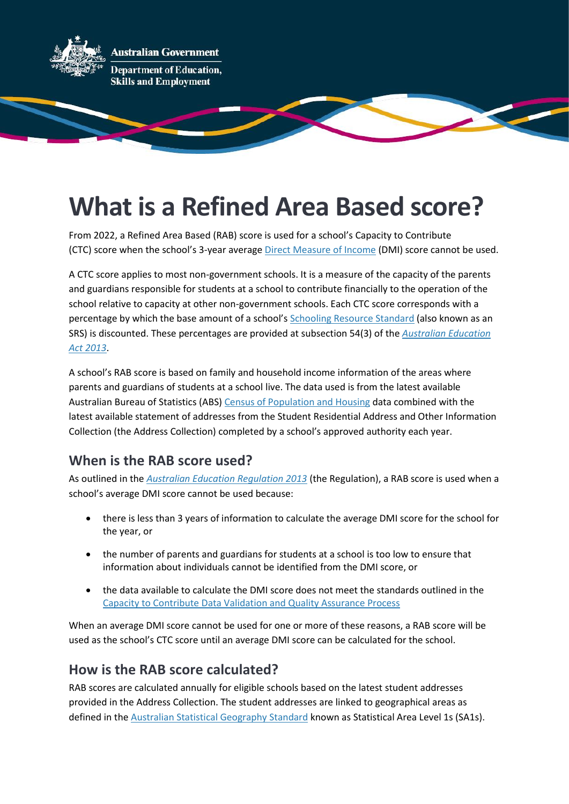

# **What is a Refined Area Based score?**

From 2022, a Refined Area Based (RAB) score is used for a school's Capacity to Contribute (CTC) score when the school's 3-year average [Direct Measure of Income](https://www.dese.gov.au/quality-schools-package/fact-sheets/what-direct-measure-income) (DMI) score cannot be used.

A CTC score applies to most non-government schools. It is a measure of the capacity of the parents and guardians responsible for students at a school to contribute financially to the operation of the school relative to capacity at other non-government schools. Each CTC score corresponds with a percentage by which the base amount of a school's [Schooling Resource Standard](https://www.dese.gov.au/quality-schools-package/fact-sheets/what-schooling-resource-standard-and-how-does-it-work) (also known as an SRS) is discounted. These percentages are provided at subsection 54(3) of the *[Australian Education](https://www.legislation.gov.au/Series/C2013A00067)  [Act 2013](https://www.legislation.gov.au/Series/C2013A00067)*.

A school's RAB score is based on family and household income information of the areas where parents and guardians of students at a school live. The data used is from the latest available Australian Bureau of Statistics (ABS) [Census of Population and Housing](https://www.abs.gov.au/census) data combined with the latest available statement of addresses from the Student Residential Address and Other Information Collection (the Address Collection) completed by a school's approved authority each year.

## **When is the RAB score used?**

As outlined in the *[Australian Education Regulation 2013](https://www.legislation.gov.au/Series/F2013L01476)* (the Regulation), a RAB score is used when a school's average DMI score cannot be used because:

- there is less than 3 years of information to calculate the average DMI score for the school for the year, or
- the number of parents and guardians for students at a school is too low to ensure that information about individuals cannot be identified from the DMI score, or
- the data available to calculate the DMI score does not meet the standards outlined in the [Capacity to Contribute Data Validation and Quality Assurance Process](https://www.dese.gov.au/quality-schools-package/resources/capacity-contribute-data-validation-and-quality-assurance-process)

When an average DMI score cannot be used for one or more of these reasons, a RAB score will be used as the school's CTC score until an average DMI score can be calculated for the school.

#### **How is the RAB score calculated?**

RAB scores are calculated annually for eligible schools based on the latest student addresses provided in the Address Collection. The student addresses are linked to geographical areas as defined in the [Australian Statistical Geography Standard](https://www.abs.gov.au/websitedbs/D3310114.nsf/home/Australian+Statistical+Geography+Standard+(ASGS)) known as Statistical Area Level 1s (SA1s).